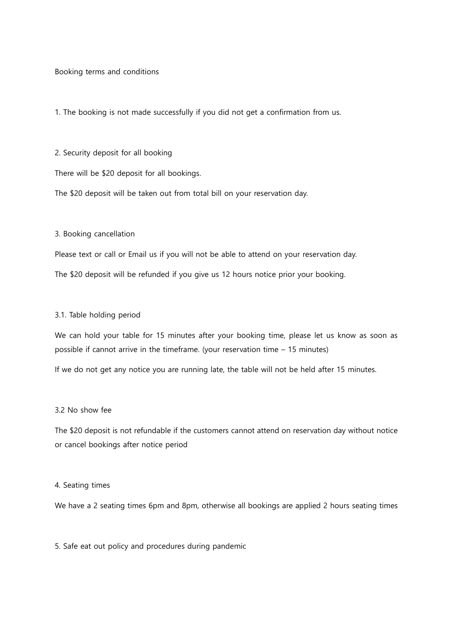Booking terms and conditions

1. The booking is not made successfully if you did not get a confirmation from us.

2. Security deposit for all booking

There will be \$20 deposit for all bookings.

The \$20 deposit will be taken out from total bill on your reservation day.

3. Booking cancellation

Please text or call or Email us if you will not be able to attend on your reservation day.

The \$20 deposit will be refunded if you give us 12 hours notice prior your booking.

#### 3.1. Table holding period

We can hold your table for 15 minutes after your booking time, please let us know as soon as possible if cannot arrive in the timeframe. (your reservation time – 15 minutes)

If we do not get any notice you are running late, the table will not be held after 15 minutes.

### 3.2 No show fee

The \$20 deposit is not refundable if the customers cannot attend on reservation day without notice or cancel bookings after notice period

#### 4. Seating times

We have a 2 seating times 6pm and 8pm, otherwise all bookings are applied 2 hours seating times

5. Safe eat out policy and procedures during pandemic